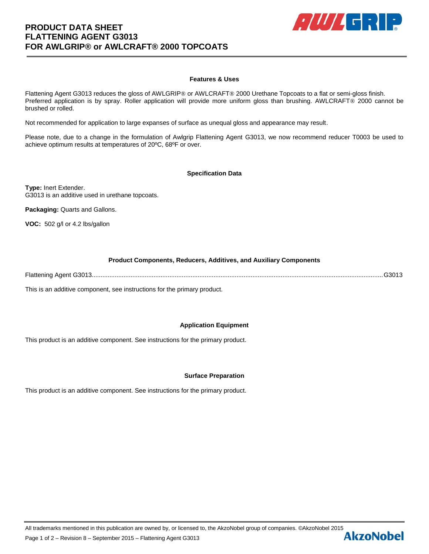# **PRODUCT DATA SHEET FLATTENING AGENT G3013 FOR AWLGRIP® or AWLCRAFT® 2000 TOPCOATS**



## **Features & Uses**

Flattening Agent G3013 reduces the gloss of AWLGRIP® or AWLCRAFT® 2000 Urethane Topcoats to a flat or semi-gloss finish. Preferred application is by spray. Roller application will provide more uniform gloss than brushing. AWLCRAFT® 2000 cannot be brushed or rolled.

Not recommended for application to large expanses of surface as unequal gloss and appearance may result.

Please note, due to a change in the formulation of Awlgrip Flattening Agent G3013, we now recommend reducer T0003 be used to achieve optimum results at temperatures of 20ºC, 68ºF or over.

### **Specification Data**

**Type:** Inert Extender. G3013 is an additive used in urethane topcoats.

**Packaging:** Quarts and Gallons.

**VOC:** 502 g/l or 4.2 lbs/gallon

### **Product Components, Reducers, Additives, and Auxiliary Components**

Flattening Agent G3013.....................................................................................................................................................................G3013

This is an additive component, see instructions for the primary product.

### **Application Equipment**

This product is an additive component. See instructions for the primary product.

### **Surface Preparation**

This product is an additive component. See instructions for the primary product.